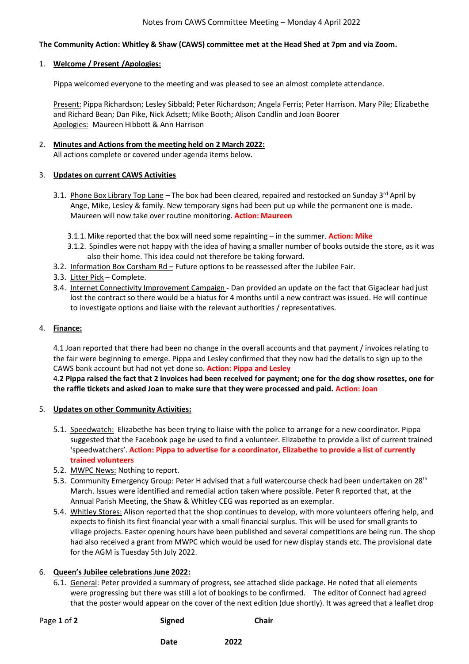# **The Community Action: Whitley & Shaw (CAWS) committee met at the Head Shed at 7pm and via Zoom.**

## 1. **Welcome / Present /Apologies:**

Pippa welcomed everyone to the meeting and was pleased to see an almost complete attendance.

Present: Pippa Richardson; Lesley Sibbald; Peter Richardson; Angela Ferris; Peter Harrison. Mary Pile; Elizabethe and Richard Bean; Dan Pike, Nick Adsett; Mike Booth; Alison Candlin and Joan Boorer Apologies: Maureen Hibbott & Ann Harrison

# 2. **Minutes and Actions from the meeting held on 2 March 2022:** All actions complete or covered under agenda items below.

### 3. **Updates on current CAWS Activities**

- 3.1. Phone Box Library Top Lane The box had been cleared, repaired and restocked on Sunday 3<sup>rd</sup> April by Ange, Mike, Lesley & family. New temporary signs had been put up while the permanent one is made. Maureen will now take over routine monitoring. **Action: Maureen**
	- 3.1.1.Mike reported that the box will need some repainting in the summer. **Action: Mike**
	- 3.1.2. Spindles were not happy with the idea of having a smaller number of books outside the store, as it was also their home. This idea could not therefore be taking forward.
- 3.2. Information Box Corsham Rd Future options to be reassessed after the Jubilee Fair.
- 3.3. Litter Pick Complete.
- 3.4. Internet Connectivity Improvement Campaign Dan provided an update on the fact that Gigaclear had just lost the contract so there would be a hiatus for 4 months until a new contract was issued. He will continue to investigate options and liaise with the relevant authorities / representatives.

#### 4. **Finance:**

4.1 Joan reported that there had been no change in the overall accounts and that payment / invoices relating to the fair were beginning to emerge. Pippa and Lesley confirmed that they now had the details to sign up to the CAWS bank account but had not yet done so. **Action: Pippa and Lesley** 

4.**2 Pippa raised the fact that 2 invoices had been received for payment; one for the dog show rosettes, one for the raffle tickets and asked Joan to make sure that they were processed and paid. Action: Joan**

#### 5. **Updates on other Community Activities:**

- 5.1. Speedwatch: Elizabethe has been trying to liaise with the police to arrange for a new coordinator. Pippa suggested that the Facebook page be used to find a volunteer. Elizabethe to provide a list of current trained 'speedwatchers'. **Action: Pippa to advertise for a coordinator, Elizabethe to provide a list of currently trained volunteers**
- 5.2. MWPC News: Nothing to report.
- 5.3. Community Emergency Group: Peter H advised that a full watercourse check had been undertaken on 28<sup>th</sup> March. Issues were identified and remedial action taken where possible. Peter R reported that, at the Annual Parish Meeting, the Shaw & Whitley CEG was reported as an exemplar.
- 5.4. Whitley Stores: Alison reported that the shop continues to develop, with more volunteers offering help, and expects to finish its first financial year with a small financial surplus. This will be used for small grants to village projects. Easter opening hours have been published and several competitions are being run. The shop had also received a grant from MWPC which would be used for new display stands etc. The provisional date for the AGM is Tuesday 5th July 2022.

#### 6. **Queen's Jubilee celebrations June 2022:**

6.1. General: Peter provided a summary of progress, see attached slide package. He noted that all elements were progressing but there was still a lot of bookings to be confirmed. The editor of Connect had agreed that the poster would appear on the cover of the next edition (due shortly). It was agreed that a leaflet drop

Page 1 of 2 **Signed** Chair

**Date** 2022